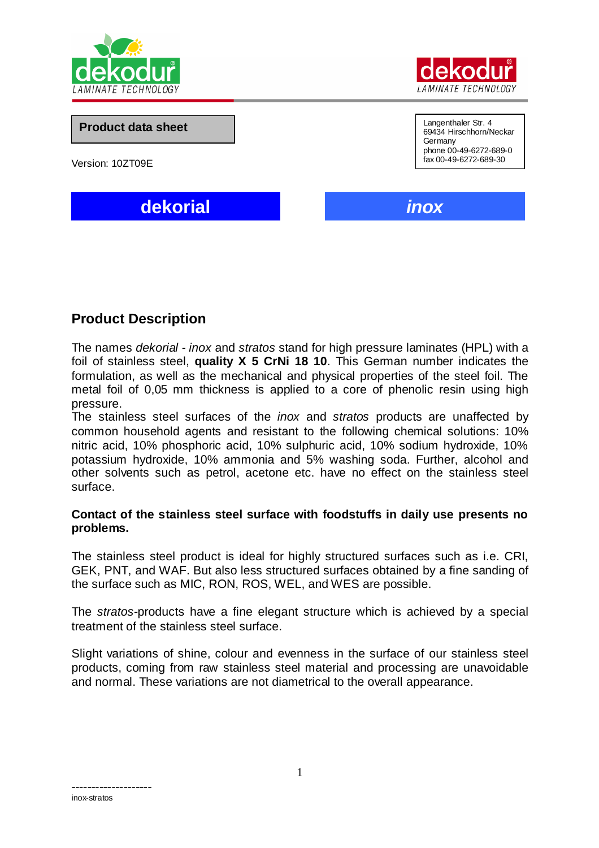



**Product data sheet**

Version: 10ZT09E

Langenthaler Str. 4 69434 Hirschhorn/Neckar Germany phone 00-49-6272-689-0 fax 00-49-6272-689-30

**dekorial** *inox*

# **Product Description**

The names *dekorial - inox* and *stratos* stand for high pressure laminates (HPL) with a foil of stainless steel, **quality X 5 CrNi 18 10**. This German number indicates the formulation, as well as the mechanical and physical properties of the steel foil. The metal foil of 0,05 mm thickness is applied to a core of phenolic resin using high pressure.

The stainless steel surfaces of the *inox* and *stratos* products are unaffected by common household agents and resistant to the following chemical solutions: 10% nitric acid, 10% phosphoric acid, 10% sulphuric acid, 10% sodium hydroxide, 10% potassium hydroxide, 10% ammonia and 5% washing soda. Further, alcohol and other solvents such as petrol, acetone etc. have no effect on the stainless steel surface.

## **Contact of the stainless steel surface with foodstuffs in daily use presents no problems.**

The stainless steel product is ideal for highly structured surfaces such as i.e. CRI, GEK, PNT, and WAF. But also less structured surfaces obtained by a fine sanding of the surface such as MIC, RON, ROS, WEL, and WES are possible.

The *stratos-*products have a fine elegant structure which is achieved by a special treatment of the stainless steel surface.

Slight variations of shine, colour and evenness in the surface of our stainless steel products, coming from raw stainless steel material and processing are unavoidable and normal. These variations are not diametrical to the overall appearance.

------------------- inox-stratos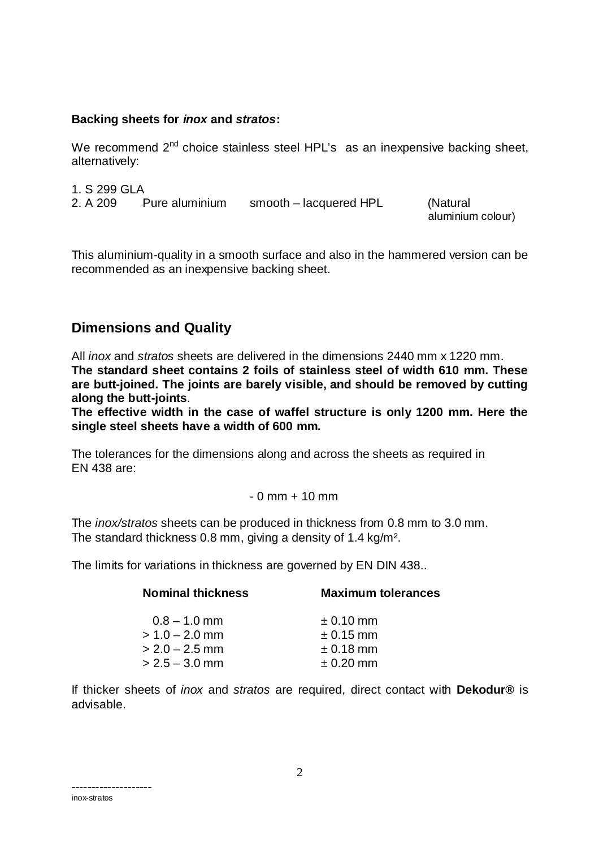## **Backing sheets for** *inox* **and** *stratos***:**

We recommend  $2^{nd}$  choice stainless steel HPL's as an inexpensive backing sheet, alternatively:

1. S 299 GLA

2. A 209 Pure aluminium smooth – lacquered HPL (Natural

aluminium colour)

This aluminium-quality in a smooth surface and also in the hammered version can be recommended as an inexpensive backing sheet.

# **Dimensions and Quality**

All *inox* and *stratos* sheets are delivered in the dimensions 2440 mm x 1220 mm. **The standard sheet contains 2 foils of stainless steel of width 610 mm. These are butt-joined. The joints are barely visible, and should be removed by cutting along the butt-joints**.

**The effective width in the case of waffel structure is only 1200 mm. Here the single steel sheets have a width of 600 mm.**

The tolerances for the dimensions along and across the sheets as required in EN 438 are:

## $-0$  mm  $+$  10 mm

The *inox/stratos* sheets can be produced in thickness from 0.8 mm to 3.0 mm. The standard thickness 0.8 mm, giving a density of 1.4 kg/m².

The limits for variations in thickness are governed by EN DIN 438..

| <b>Nominal thickness</b> | <b>Maximum tolerances</b> |  |
|--------------------------|---------------------------|--|
| $0.8 - 1.0$ mm           | $\pm$ 0.10 mm             |  |
| $> 1.0 - 2.0$ mm         | $\pm$ 0.15 mm             |  |
| $> 2.0 - 2.5$ mm         | $\pm$ 0.18 mm             |  |
| $> 2.5 - 3.0$ mm         | $\pm$ 0.20 mm             |  |
|                          |                           |  |

If thicker sheets of *inox* and *stratos* are required, direct contact with **Dekodur®** is advisable.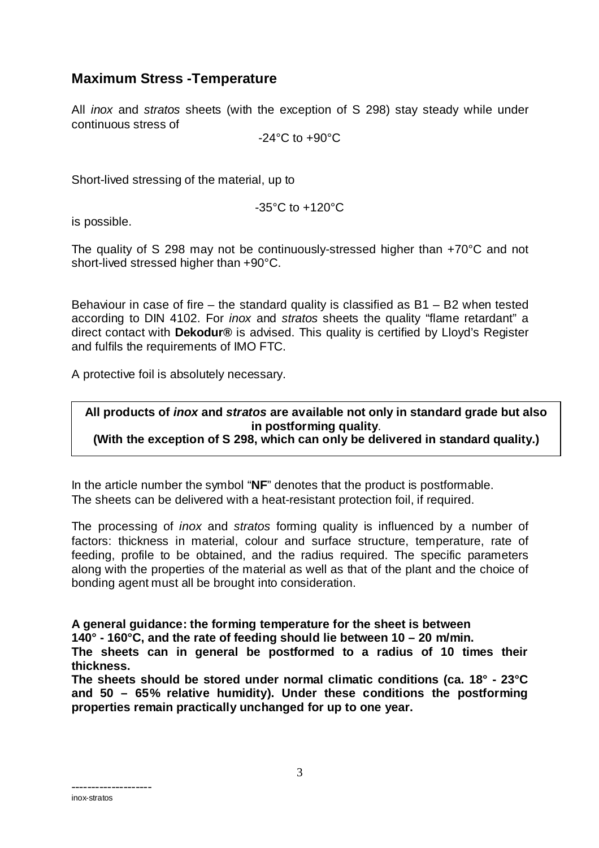# **Maximum Stress -Temperature**

All *inox* and *stratos* sheets (with the exception of S 298) stay steady while under continuous stress of

-24°C to +90°C

Short-lived stressing of the material, up to

-35°C to +120°C

is possible.

The quality of S 298 may not be continuously-stressed higher than +70°C and not short-lived stressed higher than +90°C.

Behaviour in case of fire – the standard quality is classified as  $B1 - B2$  when tested according to DIN 4102. For *inox* and *stratos* sheets the quality "flame retardant" a direct contact with **Dekodur®** is advised. This quality is certified by Lloyd's Register and fulfils the requirements of IMO FTC.

A protective foil is absolutely necessary.

## **All products of** *inox* **and** *stratos* **are available not only in standard grade but also in postforming quality**. **(With the exception of S 298, which can only be delivered in standard quality.)**

In the article number the symbol "**NF**" denotes that the product is postformable. The sheets can be delivered with a heat-resistant protection foil, if required.

The processing of *inox* and *stratos* forming quality is influenced by a number of factors: thickness in material, colour and surface structure, temperature, rate of feeding, profile to be obtained, and the radius required. The specific parameters along with the properties of the material as well as that of the plant and the choice of bonding agent must all be brought into consideration.

# **A general guidance: the forming temperature for the sheet is between**

**140° - 160°C, and the rate of feeding should lie between 10 – 20 m/min.**

**The sheets can in general be postformed to a radius of 10 times their thickness.**

**The sheets should be stored under normal climatic conditions (ca. 18° - 23°C and 50 – 65% relative humidity). Under these conditions the postforming properties remain practically unchanged for up to one year.**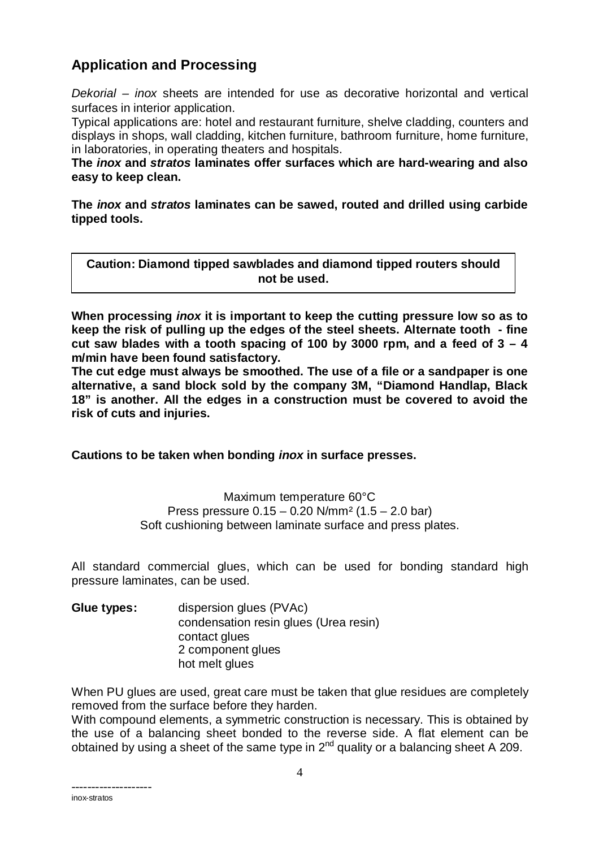# **Application and Processing**

*Dekorial – inox* sheets are intended for use as decorative horizontal and vertical surfaces in interior application.

Typical applications are: hotel and restaurant furniture, shelve cladding, counters and displays in shops, wall cladding, kitchen furniture, bathroom furniture, home furniture, in laboratories, in operating theaters and hospitals.

**The** *inox* **and** *stratos* **laminates offer surfaces which are hard-wearing and also easy to keep clean.**

**The** *inox* **and** *stratos* **laminates can be sawed, routed and drilled using carbide tipped tools.**

**Caution: Diamond tipped sawblades and diamond tipped routers should not be used.**

**When processing** *inox* **it is important to keep the cutting pressure low so as to keep the risk of pulling up the edges of the steel sheets. Alternate tooth - fine cut saw blades with a tooth spacing of 100 by 3000 rpm, and a feed of 3 – 4 m/min have been found satisfactory.**

**The cut edge must always be smoothed. The use of a file or a sandpaper is one alternative, a sand block sold by the company 3M, "Diamond Handlap, Black 18" is another. All the edges in a construction must be covered to avoid the risk of cuts and injuries.**

**Cautions to be taken when bonding** *inox* **in surface presses.**

Maximum temperature 60°C Press pressure  $0.15 - 0.20$  N/mm<sup>2</sup>  $(1.5 - 2.0$  bar) Soft cushioning between laminate surface and press plates.

All standard commercial glues, which can be used for bonding standard high pressure laminates, can be used.

**Glue types:** dispersion glues (PVAc) condensation resin glues (Urea resin) contact glues 2 component glues hot melt glues

When PU glues are used, great care must be taken that glue residues are completely removed from the surface before they harden.

With compound elements, a symmetric construction is necessary. This is obtained by the use of a balancing sheet bonded to the reverse side. A flat element can be obtained by using a sheet of the same type in  $2^{nd}$  quality or a balancing sheet A 209.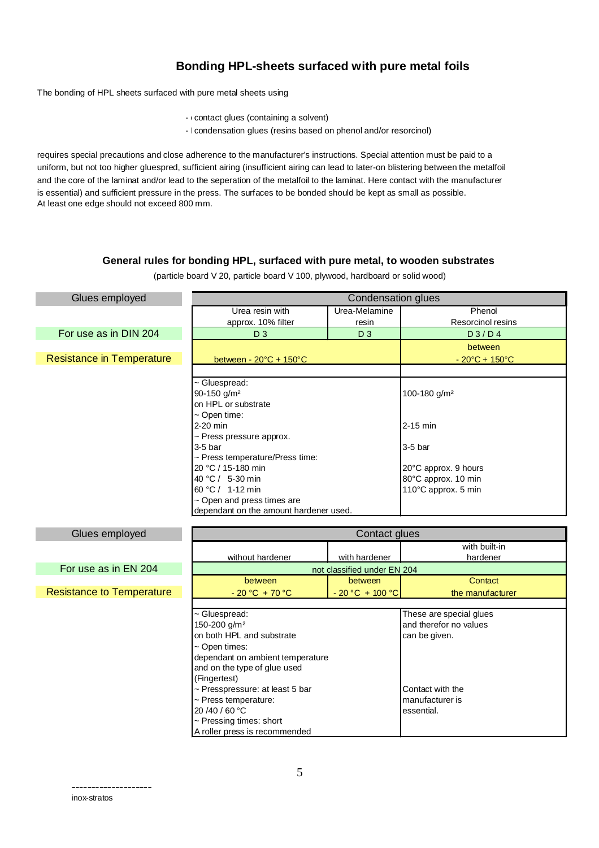## **Bonding HPL-sheets surfaced with pure metal foils**

The bonding of HPL sheets surfaced with pure metal sheets using

- contact glues (containing a solvent)
- I condensation glues (resins based on phenol and/or resorcinol)

requires special precautions and close adherence to the manufacturer's instructions. Special attention must be paid to a uniform, but not too higher gluespred, sufficient airing (insufficient airing can lead to later-on blistering between the metalfoil and the core of the laminat and/or lead to the seperation of the metalfoil to the laminat. Here contact with the manufacturer is essential) and sufficient pressure in the press. The surfaces to be bonded should be kept as small as possible. At least one edge should not exceed 800 mm.

### **General rules for bonding HPL, surfaced with pure metal, to wooden substrates**

(particle board V 20, particle board V 100, plywood, hardboard or solid wood)

| Glues employed                   | <b>Condensation glues</b>                      |                             |                                     |  |
|----------------------------------|------------------------------------------------|-----------------------------|-------------------------------------|--|
|                                  | Urea resin with                                | Urea-Melamine               | Phenol                              |  |
|                                  | approx. 10% filter                             | resin                       | Resorcinol resins                   |  |
| For use as in DIN 204            | $D_3$                                          | D <sub>3</sub>              | D3/D4                               |  |
|                                  |                                                |                             | between                             |  |
| <b>Resistance in Temperature</b> | between - $20^{\circ}C + 150^{\circ}C$         |                             | $-20^{\circ}C + 150^{\circ}C$       |  |
|                                  |                                                |                             |                                     |  |
|                                  | ~ Gluespread:                                  |                             |                                     |  |
|                                  | 90-150 g/m <sup>2</sup>                        |                             | 100-180 g/m <sup>2</sup>            |  |
|                                  | on HPL or substrate                            |                             |                                     |  |
|                                  | ~ Open time:                                   |                             |                                     |  |
|                                  | 2-20 min                                       |                             | $2-15$ min                          |  |
|                                  | ~ Press pressure approx.                       |                             |                                     |  |
|                                  | $3-5$ bar                                      |                             | $3-5$ bar                           |  |
|                                  | ~ Press temperature/Press time:                |                             |                                     |  |
|                                  | 20 °C / 15-180 min                             |                             | 20°C approx. 9 hours                |  |
|                                  | 40 °C / 5-30 min                               |                             | 80°C approx. 10 min                 |  |
|                                  | 60 °C / 1-12 min<br>~ Open and press times are |                             | 110°C approx. 5 min                 |  |
|                                  | dependant on the amount hardener used.         |                             |                                     |  |
|                                  |                                                |                             |                                     |  |
|                                  | Contact glues                                  |                             |                                     |  |
| Glues employed                   |                                                |                             |                                     |  |
|                                  |                                                |                             | with built-in                       |  |
|                                  | without hardener                               | with hardener               | hardener                            |  |
| For use as in EN 204             |                                                | not classified under EN 204 |                                     |  |
|                                  | between                                        | between                     | Contact                             |  |
| <b>Resistance to Temperature</b> | $-20 °C + 70 °C$                               | $-20 °C + 100 °C$           | the manufacturer                    |  |
|                                  |                                                |                             |                                     |  |
|                                  | ~ Gluespread:                                  |                             | These are special glues             |  |
|                                  | 150-200 g/m <sup>2</sup>                       |                             | and therefor no values              |  |
|                                  | on both HPL and substrate                      |                             | can be given.                       |  |
|                                  | ~ Open times:                                  |                             |                                     |  |
|                                  | dependant on ambient temperature               |                             |                                     |  |
|                                  | and on the type of glue used                   |                             |                                     |  |
|                                  | (Fingertest)                                   |                             |                                     |  |
|                                  | ~ Presspressure: at least 5 bar                |                             | Contact with the<br>manufacturer is |  |
|                                  | ~ Press temperature:<br>20/40/60 °C            |                             | essential.                          |  |
|                                  | ~ Pressing times: short                        |                             |                                     |  |
|                                  | A roller press is recommended                  |                             |                                     |  |